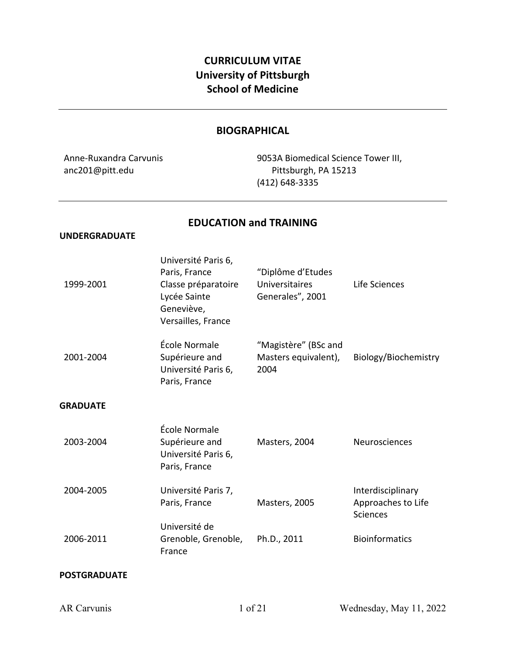# **CURRICULUM VITAE University of Pittsburgh School of Medicine**

# **BIOGRAPHICAL**

Anne-Ruxandra Carvunis anc201@pitt.edu

9053A Biomedical Science Tower III, Pittsburgh, PA 15213 (412) 648-3335

# **EDUCATION and TRAINING**

#### **UNDERGRADUATE**

| 1999-2001       | Université Paris 6,<br>Paris, France<br>Classe préparatoire<br>Lycée Sainte<br>Geneviève,<br>Versailles, France | "Diplôme d'Etudes<br>Universitaires<br>Generales", 2001 | Life Sciences                                              |
|-----------------|-----------------------------------------------------------------------------------------------------------------|---------------------------------------------------------|------------------------------------------------------------|
| 2001-2004       | École Normale<br>Supérieure and<br>Université Paris 6,<br>Paris, France                                         | "Magistère" (BSc and<br>Masters equivalent),<br>2004    | Biology/Biochemistry                                       |
| <b>GRADUATE</b> |                                                                                                                 |                                                         |                                                            |
| 2003-2004       | École Normale<br>Supérieure and<br>Université Paris 6,<br>Paris, France                                         | Masters, 2004                                           | Neurosciences                                              |
| 2004-2005       | Université Paris 7,<br>Paris, France                                                                            | Masters, 2005                                           | Interdisciplinary<br>Approaches to Life<br><b>Sciences</b> |
| 2006-2011       | Université de<br>Grenoble, Grenoble,<br>France                                                                  | Ph.D., 2011                                             | <b>Bioinformatics</b>                                      |
|                 |                                                                                                                 |                                                         |                                                            |

# **POSTGRADUATE**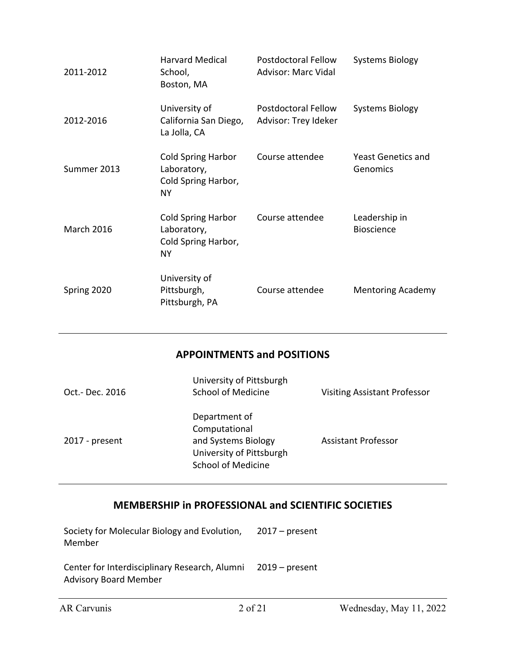| 2011-2012         | <b>Harvard Medical</b><br>School,<br>Boston, MA                              | Postdoctoral Fellow<br><b>Advisor: Marc Vidal</b>  | <b>Systems Biology</b>                |
|-------------------|------------------------------------------------------------------------------|----------------------------------------------------|---------------------------------------|
| 2012-2016         | University of<br>California San Diego,<br>La Jolla, CA                       | <b>Postdoctoral Fellow</b><br>Advisor: Trey Ideker | <b>Systems Biology</b>                |
| Summer 2013       | <b>Cold Spring Harbor</b><br>Laboratory,<br>Cold Spring Harbor,<br><b>NY</b> | Course attendee                                    | <b>Yeast Genetics and</b><br>Genomics |
| <b>March 2016</b> | <b>Cold Spring Harbor</b><br>Laboratory,<br>Cold Spring Harbor,<br><b>NY</b> | Course attendee                                    | Leadership in<br><b>Bioscience</b>    |
| Spring 2020       | University of<br>Pittsburgh,<br>Pittsburgh, PA                               | Course attendee                                    | <b>Mentoring Academy</b>              |

# **APPOINTMENTS and POSITIONS**

| Oct.- Dec. 2016 | University of Pittsburgh<br><b>School of Medicine</b>                                                          | <b>Visiting Assistant Professor</b> |
|-----------------|----------------------------------------------------------------------------------------------------------------|-------------------------------------|
| 2017 - present  | Department of<br>Computational<br>and Systems Biology<br>University of Pittsburgh<br><b>School of Medicine</b> | <b>Assistant Professor</b>          |

# **MEMBERSHIP in PROFESSIONAL and SCIENTIFIC SOCIETIES**

| Society for Molecular Biology and Evolution, 2017 – present<br>Member                        |  |
|----------------------------------------------------------------------------------------------|--|
| Center for Interdisciplinary Research, Alumni 2019 – present<br><b>Advisory Board Member</b> |  |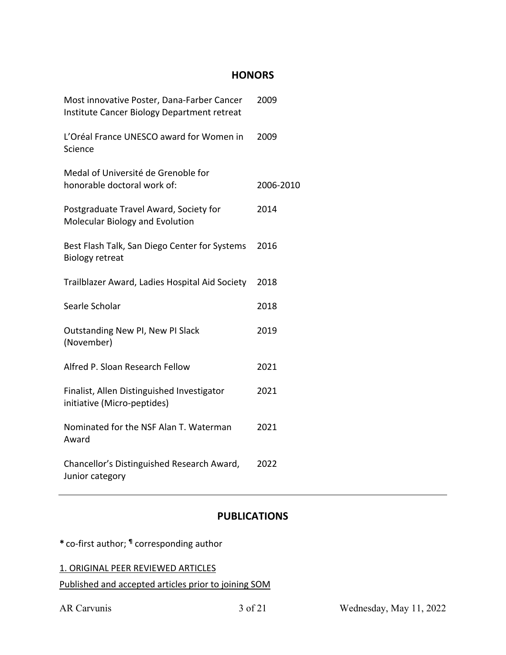# **HONORS**

| Most innovative Poster, Dana-Farber Cancer<br>Institute Cancer Biology Department retreat | 2009      |
|-------------------------------------------------------------------------------------------|-----------|
| L'Oréal France UNESCO award for Women in<br>Science                                       | 2009      |
| Medal of Université de Grenoble for<br>honorable doctoral work of:                        | 2006-2010 |
| Postgraduate Travel Award, Society for<br>Molecular Biology and Evolution                 | 2014      |
| Best Flash Talk, San Diego Center for Systems<br><b>Biology retreat</b>                   | 2016      |
| Trailblazer Award, Ladies Hospital Aid Society                                            | 2018      |
| Searle Scholar                                                                            | 2018      |
| Outstanding New PI, New PI Slack<br>(November)                                            | 2019      |
| Alfred P. Sloan Research Fellow                                                           | 2021      |
| Finalist, Allen Distinguished Investigator<br>initiative (Micro-peptides)                 | 2021      |
| Nominated for the NSF Alan T. Waterman<br>Award                                           | 2021      |
| Chancellor's Distinguished Research Award,<br>Junior category                             | 2022      |

# **PUBLICATIONS**

**\*** co-first author; **¶** corresponding author

| 1. ORIGINAL PEER REVIEWED ARTICLES                   |  |
|------------------------------------------------------|--|
| Published and accepted articles prior to joining SOM |  |

AR Carvunis 3 of 21 Wednesday, May 11, 2022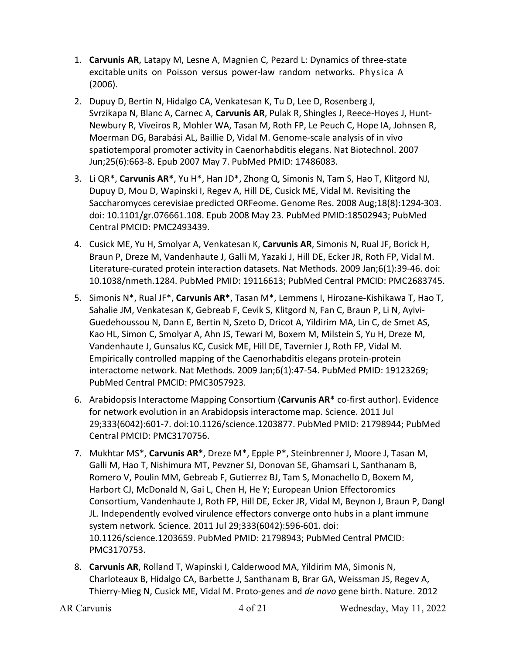- 1. **Carvunis AR**, Latapy M, Lesne A, Magnien C, Pezard L: Dynamics of three-state excitable units on Poisson versus power-law random networks. Physica A (2006).
- 2. Dupuy D, Bertin N, Hidalgo CA, Venkatesan K, Tu D, Lee D, Rosenberg J, Svrzikapa N, Blanc A, Carnec A, **Carvunis AR**, Pulak R, Shingles J, Reece-Hoyes J, Hunt-Newbury R, Viveiros R, Mohler WA, Tasan M, Roth FP, Le Peuch C, Hope IA, Johnsen R, Moerman DG, Barabási AL, Baillie D, Vidal M. Genome-scale analysis of in vivo spatiotemporal promoter activity in Caenorhabditis elegans. Nat Biotechnol. 2007 Jun;25(6):663-8. Epub 2007 May 7. PubMed PMID: 17486083.
- 3. Li QR\*, **Carvunis AR\***, Yu H\*, Han JD\*, Zhong Q, Simonis N, Tam S, Hao T, Klitgord NJ, Dupuy D, Mou D, Wapinski I, Regev A, Hill DE, Cusick ME, Vidal M. Revisiting the Saccharomyces cerevisiae predicted ORFeome. Genome Res. 2008 Aug;18(8):1294-303. doi: 10.1101/gr.076661.108. Epub 2008 May 23. PubMed PMID:18502943; PubMed Central PMCID: PMC2493439.
- 4. Cusick ME, Yu H, Smolyar A, Venkatesan K, **Carvunis AR**, Simonis N, Rual JF, Borick H, Braun P, Dreze M, Vandenhaute J, Galli M, Yazaki J, Hill DE, Ecker JR, Roth FP, Vidal M. Literature-curated protein interaction datasets. Nat Methods. 2009 Jan;6(1):39-46. doi: 10.1038/nmeth.1284. PubMed PMID: 19116613; PubMed Central PMCID: PMC2683745.
- 5. Simonis N\*, Rual JF\*, **Carvunis AR\***, Tasan M\*, Lemmens I, Hirozane-Kishikawa T, Hao T, Sahalie JM, Venkatesan K, Gebreab F, Cevik S, Klitgord N, Fan C, Braun P, Li N, Ayivi-Guedehoussou N, Dann E, Bertin N, Szeto D, Dricot A, Yildirim MA, Lin C, de Smet AS, Kao HL, Simon C, Smolyar A, Ahn JS, Tewari M, Boxem M, Milstein S, Yu H, Dreze M, Vandenhaute J, Gunsalus KC, Cusick ME, Hill DE, Tavernier J, Roth FP, Vidal M. Empirically controlled mapping of the Caenorhabditis elegans protein-protein interactome network. Nat Methods. 2009 Jan;6(1):47-54. PubMed PMID: 19123269; PubMed Central PMCID: PMC3057923.
- 6. Arabidopsis Interactome Mapping Consortium (**Carvunis AR\*** co-first author). Evidence for network evolution in an Arabidopsis interactome map. Science. 2011 Jul 29;333(6042):601-7. doi:10.1126/science.1203877. PubMed PMID: 21798944; PubMed Central PMCID: PMC3170756.
- 7. Mukhtar MS\*, **Carvunis AR\***, Dreze M\*, Epple P\*, Steinbrenner J, Moore J, Tasan M, Galli M, Hao T, Nishimura MT, Pevzner SJ, Donovan SE, Ghamsari L, Santhanam B, Romero V, Poulin MM, Gebreab F, Gutierrez BJ, Tam S, Monachello D, Boxem M, Harbort CJ, McDonald N, Gai L, Chen H, He Y; European Union Effectoromics Consortium, Vandenhaute J, Roth FP, Hill DE, Ecker JR, Vidal M, Beynon J, Braun P, Dangl JL. Independently evolved virulence effectors converge onto hubs in a plant immune system network. Science. 2011 Jul 29;333(6042):596-601. doi: 10.1126/science.1203659. PubMed PMID: 21798943; PubMed Central PMCID: PMC3170753.
- 8. **Carvunis AR**, Rolland T, Wapinski I, Calderwood MA, Yildirim MA, Simonis N, Charloteaux B, Hidalgo CA, Barbette J, Santhanam B, Brar GA, Weissman JS, Regev A, Thierry-Mieg N, Cusick ME, Vidal M. Proto-genes and *de novo* gene birth. Nature. 2012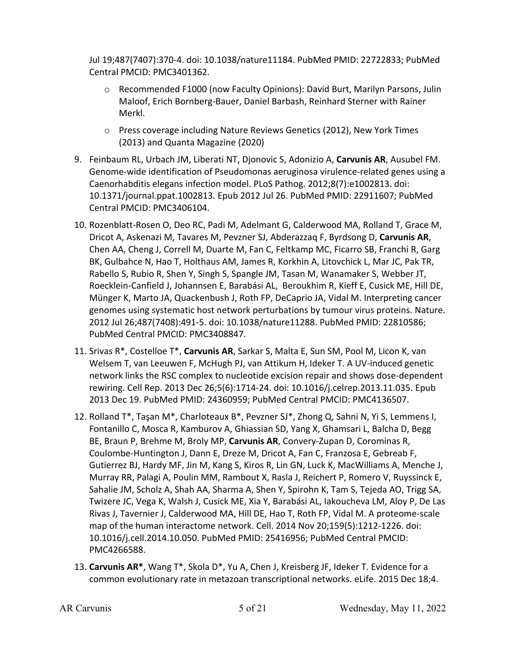Jul 19;487(7407):370-4. doi: 10.1038/nature11184. PubMed PMID: 22722833; PubMed Central PMCID: PMC3401362.

- o Recommended F1000 (now Faculty Opinions): David Burt, Marilyn Parsons, Julin Maloof, Erich Bornberg-Bauer, Daniel Barbash, Reinhard Sterner with Rainer Merkl.
- $\circ$  Press coverage including Nature Reviews Genetics (2012), New York Times (2013) and Quanta Magazine (2020)
- 9. Feinbaum RL, Urbach JM, Liberati NT, Djonovic S, Adonizio A, **Carvunis AR**, Ausubel FM. Genome-wide identification of Pseudomonas aeruginosa virulence-related genes using a Caenorhabditis elegans infection model. PLoS Pathog. 2012;8(7):e1002813. doi: 10.1371/journal.ppat.1002813. Epub 2012 Jul 26. PubMed PMID: 22911607; PubMed Central PMCID: PMC3406104.
- 10. Rozenblatt-Rosen O, Deo RC, Padi M, Adelmant G, Calderwood MA, Rolland T, Grace M, Dricot A, Askenazi M, Tavares M, Pevzner SJ, Abderazzaq F, Byrdsong D, **Carvunis AR**, Chen AA, Cheng J, Correll M, Duarte M, Fan C, Feltkamp MC, Ficarro SB, Franchi R, Garg BK, Gulbahce N, Hao T, Holthaus AM, James R, Korkhin A, Litovchick L, Mar JC, Pak TR, Rabello S, Rubio R, Shen Y, Singh S, Spangle JM, Tasan M, Wanamaker S, Webber JT, Roecklein-Canfield J, Johannsen E, Barabási AL, Beroukhim R, Kieff E, Cusick ME, Hill DE, Münger K, Marto JA, Quackenbush J, Roth FP, DeCaprio JA, Vidal M. Interpreting cancer genomes using systematic host network perturbations by tumour virus proteins. Nature. 2012 Jul 26;487(7408):491-5. doi: 10.1038/nature11288. PubMed PMID: 22810586; PubMed Central PMCID: PMC3408847.
- 11. Srivas R\*, Costelloe T\*, **Carvunis AR**, Sarkar S, Malta E, Sun SM, Pool M, Licon K, van Welsem T, van Leeuwen F, McHugh PJ, van Attikum H, Ideker T. A UV-induced genetic network links the RSC complex to nucleotide excision repair and shows dose-dependent rewiring. Cell Rep. 2013 Dec 26;5(6):1714-24. doi: 10.1016/j.celrep.2013.11.035. Epub 2013 Dec 19. PubMed PMID: 24360959; PubMed Central PMCID: PMC4136507.
- 12. Rolland T\*, Taşan M\*, Charloteaux B\*, Pevzner SJ\*, Zhong Q, Sahni N, Yi S, Lemmens I, Fontanillo C, Mosca R, Kamburov A, Ghiassian SD, Yang X, Ghamsari L, Balcha D, Begg BE, Braun P, Brehme M, Broly MP, **Carvunis AR**, Convery-Zupan D, Corominas R, Coulombe-Huntington J, Dann E, Dreze M, Dricot A, Fan C, Franzosa E, Gebreab F, Gutierrez BJ, Hardy MF, Jin M, Kang S, Kiros R, Lin GN, Luck K, MacWilliams A, Menche J, Murray RR, Palagi A, Poulin MM, Rambout X, Rasla J, Reichert P, Romero V, Ruyssinck E, Sahalie JM, Scholz A, Shah AA, Sharma A, Shen Y, Spirohn K, Tam S, Tejeda AO, Trigg SA, Twizere JC, Vega K, Walsh J, Cusick ME, Xia Y, Barabási AL, Iakoucheva LM, Aloy P, De Las Rivas J, Tavernier J, Calderwood MA, Hill DE, Hao T, Roth FP, Vidal M. A proteome-scale map of the human interactome network. Cell. 2014 Nov 20;159(5):1212-1226. doi: 10.1016/j.cell.2014.10.050. PubMed PMID: 25416956; PubMed Central PMCID: PMC4266588.
- 13. **Carvunis AR\***, Wang T\*, Skola D\*, Yu A, Chen J, Kreisberg JF, Ideker T. Evidence for a common evolutionary rate in metazoan transcriptional networks. eLife. 2015 Dec 18;4.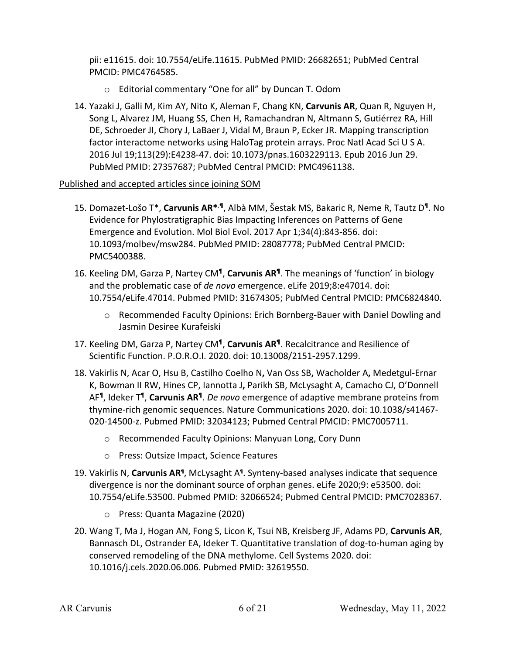pii: e11615. doi: 10.7554/eLife.11615. PubMed PMID: 26682651; PubMed Central PMCID: PMC4764585.

- o Editorial commentary "One for all" by Duncan T. Odom
- 14. Yazaki J, Galli M, Kim AY, Nito K, Aleman F, Chang KN, **Carvunis AR**, Quan R, Nguyen H, Song L, Alvarez JM, Huang SS, Chen H, Ramachandran N, Altmann S, Gutiérrez RA, Hill DE, Schroeder JI, Chory J, LaBaer J, Vidal M, Braun P, Ecker JR. Mapping transcription factor interactome networks using HaloTag protein arrays. Proc Natl Acad Sci U S A. 2016 Jul 19;113(29):E4238-47. doi: 10.1073/pnas.1603229113. Epub 2016 Jun 29. PubMed PMID: 27357687; PubMed Central PMCID: PMC4961138.

## Published and accepted articles since joining SOM

- 15. Domazet-Lošo T\*, **Carvunis AR\***,**¶**, Albà MM, Šestak MS, Bakaric R, Neme R, Tautz D¶. No Evidence for Phylostratigraphic Bias Impacting Inferences on Patterns of Gene Emergence and Evolution. Mol Biol Evol. 2017 Apr 1;34(4):843-856. doi: 10.1093/molbev/msw284. PubMed PMID: 28087778; PubMed Central PMCID: PMC5400388.
- 16. Keeling DM, Garza P, Nartey CM¶, **Carvunis AR¶**. The meanings of 'function' in biology and the problematic case of *de novo* emergence. eLife 2019;8:e47014. doi: 10.7554/eLife.47014. Pubmed PMID: 31674305; PubMed Central PMCID: PMC6824840.
	- o Recommended Faculty Opinions: Erich Bornberg-Bauer with Daniel Dowling and Jasmin Desiree Kurafeiski
- 17. Keeling DM, Garza P, Nartey CM¶, **Carvunis AR¶**. Recalcitrance and Resilience of Scientific Function. P.O.R.O.I. 2020. doi: 10.13008/2151-2957.1299.
- 18. Vakirlis N, Acar O, Hsu B, Castilho Coelho N**,** Van Oss SB**,** Wacholder A**,** Medetgul-Ernar K, Bowman II RW, Hines CP, Iannotta J**,** Parikh SB, McLysaght A, Camacho CJ, O'Donnell AF¶, Ideker T¶, **Carvunis AR**¶. *De novo* emergence of adaptive membrane proteins from thymine-rich genomic sequences. Nature Communications 2020. doi: 10.1038/s41467- 020-14500-z. Pubmed PMID: 32034123; Pubmed Central PMCID: PMC7005711.
	- o Recommended Faculty Opinions: Manyuan Long, Cory Dunn
	- o Press: Outsize Impact, Science Features
- 19. Vakirlis N, **Carvunis AR¶**, McLysaght A¶. Synteny-based analyses indicate that sequence divergence is nor the dominant source of orphan genes. eLife 2020;9: e53500. doi: 10.7554/eLife.53500. Pubmed PMID: 32066524; Pubmed Central PMCID: PMC7028367.
	- o Press: Quanta Magazine (2020)
- 20. Wang T, Ma J, Hogan AN, Fong S, Licon K, Tsui NB, Kreisberg JF, Adams PD, **Carvunis AR**, Bannasch DL, Ostrander EA, Ideker T. Quantitative translation of dog-to-human aging by conserved remodeling of the DNA methylome. Cell Systems 2020. doi: 10.1016/j.cels.2020.06.006. Pubmed PMID: 32619550.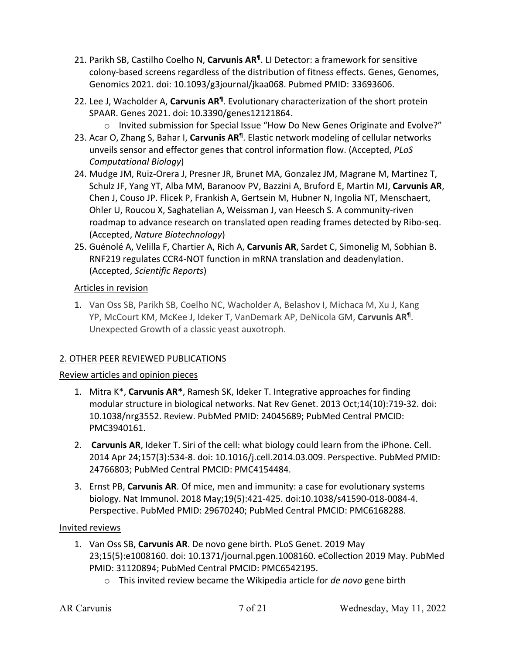- 21. Parikh SB, Castilho Coelho N, **Carvunis AR¶**. LI Detector: a framework for sensitive colony-based screens regardless of the distribution of fitness effects. Genes, Genomes, Genomics 2021. doi: 10.1093/g3journal/jkaa068. Pubmed PMID: 33693606.
- 22. Lee J, Wacholder A, **Carvunis AR¶**. Evolutionary characterization of the short protein SPAAR. Genes 2021. doi: 10.3390/genes12121864.
	- o Invited submission for Special Issue "How Do New Genes Originate and Evolve?"
- 23. Acar O, Zhang S, Bahar I, **Carvunis AR¶**. Elastic network modeling of cellular networks unveils sensor and effector genes that control information flow. (Accepted, *PLoS Computational Biology*)
- 24. Mudge JM, Ruiz-Orera J, Presner JR, Brunet MA, Gonzalez JM, Magrane M, Martinez T, Schulz JF, Yang YT, Alba MM, Baranoov PV, Bazzini A, Bruford E, Martin MJ, **Carvunis AR**, Chen J, Couso JP. Flicek P, Frankish A, Gertsein M, Hubner N, Ingolia NT, Menschaert, Ohler U, Roucou X, Saghatelian A, Weissman J, van Heesch S. A community-riven roadmap to advance research on translated open reading frames detected by Ribo-seq. (Accepted, *Nature Biotechnology*)
- 25. Guénolé A, Velilla F, Chartier A, Rich A, **Carvunis AR**, Sardet C, Simonelig M, Sobhian B. RNF219 regulates CCR4-NOT function in mRNA translation and deadenylation. (Accepted, *Scientific Reports*)

# Articles in revision

1. Van Oss SB, Parikh SB, Coelho NC, Wacholder A, Belashov I, Michaca M, Xu J, Kang YP, McCourt KM, McKee J, Ideker T, VanDemark AP, DeNicola GM, **Carvunis AR¶**. Unexpected Growth of a classic yeast auxotroph.

# 2. OTHER PEER REVIEWED PUBLICATIONS

# Review articles and opinion pieces

- 1. Mitra K\*, **Carvunis AR\***, Ramesh SK, Ideker T. Integrative approaches for finding modular structure in biological networks. Nat Rev Genet. 2013 Oct;14(10):719-32. doi: 10.1038/nrg3552. Review. PubMed PMID: 24045689; PubMed Central PMCID: PMC3940161.
- 2. **Carvunis AR**, Ideker T. Siri of the cell: what biology could learn from the iPhone. Cell. 2014 Apr 24;157(3):534-8. doi: 10.1016/j.cell.2014.03.009. Perspective. PubMed PMID: 24766803; PubMed Central PMCID: PMC4154484.
- 3. Ernst PB, **Carvunis AR**. Of mice, men and immunity: a case for evolutionary systems biology. Nat Immunol. 2018 May;19(5):421-425. doi:10.1038/s41590-018-0084-4. Perspective. PubMed PMID: 29670240; PubMed Central PMCID: PMC6168288.

# Invited reviews

- 1. Van Oss SB, **Carvunis AR**. De novo gene birth. PLoS Genet. 2019 May 23;15(5):e1008160. doi: 10.1371/journal.pgen.1008160. eCollection 2019 May. PubMed PMID: 31120894; PubMed Central PMCID: PMC6542195.
	- o This invited review became the Wikipedia article for *de novo* gene birth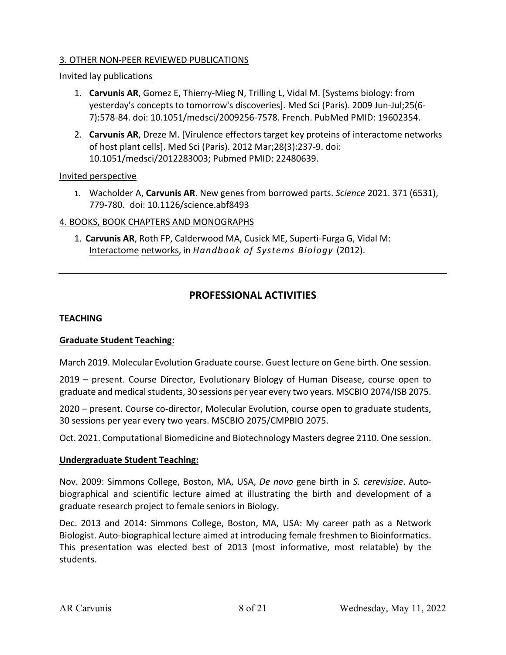#### 3. OTHER NON-PEER REVIEWED PUBLICATIONS

#### Invited lay publications

- 1. **Carvunis AR**, Gomez E, Thierry-Mieg N, Trilling L, Vidal M. [Systems biology: from yesterday's concepts to tomorrow's discoveries]. Med Sci (Paris). 2009 Jun-Jul;25(6- 7):578-84. doi: 10.1051/medsci/2009256-7578. French. PubMed PMID: 19602354.
- 2. **Carvunis AR**, Dreze M. [Virulence effectors target key proteins of interactome networks of host plant cells]. Med Sci (Paris). 2012 Mar;28(3):237-9. doi: 10.1051/medsci/2012283003; Pubmed PMID: 22480639.

#### Invited perspective

1. Wacholder A, **Carvunis AR**. New genes from borrowed parts. *Science* 2021. 371 (6531), 779-780. doi: 10.1126/science.abf8493

#### 4. BOOKS, BOOK CHAPTERS AND MONOGRAPHS

1. **Carvunis AR**, Roth FP, Calderwood MA, Cusick ME, Superti-Furga G, Vidal M: Interactome networks, in *Handbook of Systems Biology* (2012).

# **PROFESSIONAL ACTIVITIES**

#### **TEACHING**

#### **Graduate Student Teaching:**

March 2019. Molecular Evolution Graduate course. Guest lecture on Gene birth. One session.

2019 – present. Course Director, Evolutionary Biology of Human Disease, course open to graduate and medical students, 30 sessions per year every two years. MSCBIO 2074/ISB 2075.

2020 – present. Course co-director, Molecular Evolution, course open to graduate students, 30 sessions per year every two years. MSCBIO 2075/CMPBIO 2075.

Oct. 2021. Computational Biomedicine and Biotechnology Masters degree 2110. One session.

#### **Undergraduate Student Teaching:**

Nov. 2009: Simmons College, Boston, MA, USA, *De novo* gene birth in *S. cerevisiae*. Autobiographical and scientific lecture aimed at illustrating the birth and development of a graduate research project to female seniors in Biology.

Dec. 2013 and 2014: Simmons College, Boston, MA, USA: My career path as a Network Biologist. Auto-biographical lecture aimed at introducing female freshmen to Bioinformatics. This presentation was elected best of 2013 (most informative, most relatable) by the students.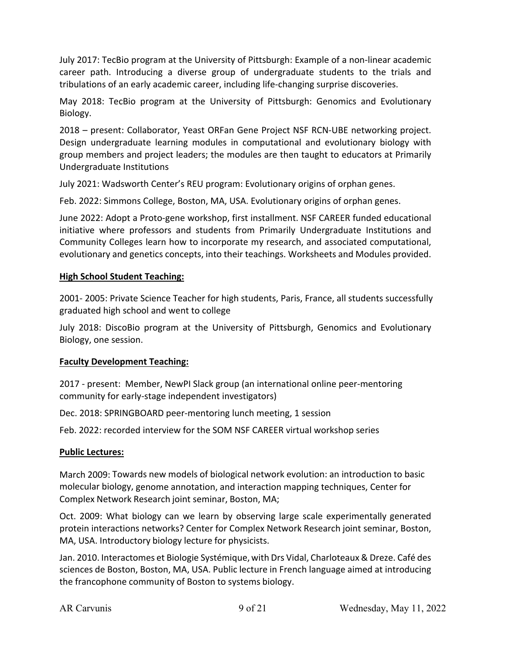July 2017: TecBio program at the University of Pittsburgh: Example of a non-linear academic career path. Introducing a diverse group of undergraduate students to the trials and tribulations of an early academic career, including life-changing surprise discoveries.

May 2018: TecBio program at the University of Pittsburgh: Genomics and Evolutionary Biology.

2018 – present: Collaborator, Yeast ORFan Gene Project NSF RCN-UBE networking project. Design undergraduate learning modules in computational and evolutionary biology with group members and project leaders; the modules are then taught to educators at Primarily Undergraduate Institutions

July 2021: Wadsworth Center's REU program: Evolutionary origins of orphan genes.

Feb. 2022: Simmons College, Boston, MA, USA. Evolutionary origins of orphan genes.

June 2022: Adopt a Proto-gene workshop, first installment. NSF CAREER funded educational initiative where professors and students from Primarily Undergraduate Institutions and Community Colleges learn how to incorporate my research, and associated computational, evolutionary and genetics concepts, into their teachings. Worksheets and Modules provided.

## **High School Student Teaching:**

2001- 2005: Private Science Teacher for high students, Paris, France, all students successfully graduated high school and went to college

July 2018: DiscoBio program at the University of Pittsburgh, Genomics and Evolutionary Biology, one session.

## **Faculty Development Teaching:**

2017 - present: Member, NewPI Slack group (an international online peer-mentoring community for early-stage independent investigators)

Dec. 2018: SPRINGBOARD peer-mentoring lunch meeting, 1 session

Feb. 2022: recorded interview for the SOM NSF CAREER virtual workshop series

## **Public Lectures:**

March 2009: Towards new models of biological network evolution: an introduction to basic molecular biology, genome annotation, and interaction mapping techniques, Center for Complex Network Research joint seminar, Boston, MA;

Oct. 2009: What biology can we learn by observing large scale experimentally generated protein interactions networks? Center for Complex Network Research joint seminar, Boston, MA, USA. Introductory biology lecture for physicists.

Jan. 2010. Interactomes et Biologie Systémique, with Drs Vidal, Charloteaux & Dreze. Café des sciences de Boston, Boston, MA, USA. Public lecture in French language aimed at introducing the francophone community of Boston to systems biology.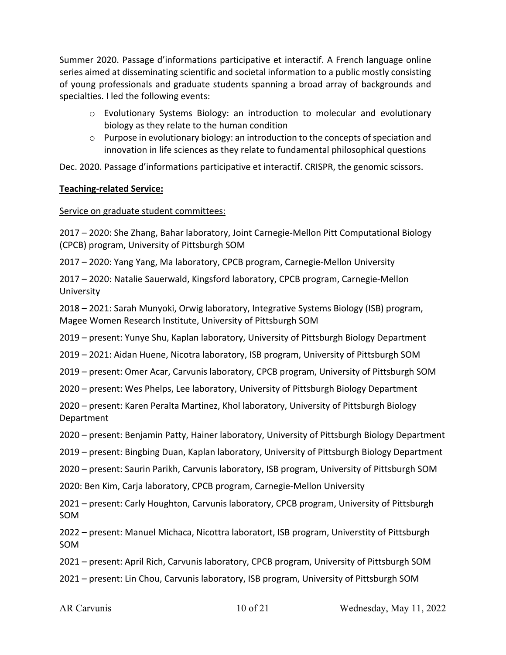Summer 2020. Passage d'informations participative et interactif. A French language online series aimed at disseminating scientific and societal information to a public mostly consisting of young professionals and graduate students spanning a broad array of backgrounds and specialties. I led the following events:

- o Evolutionary Systems Biology: an introduction to molecular and evolutionary biology as they relate to the human condition
- $\circ$  Purpose in evolutionary biology: an introduction to the concepts of speciation and innovation in life sciences as they relate to fundamental philosophical questions

Dec. 2020. Passage d'informations participative et interactif. CRISPR, the genomic scissors.

## **Teaching-related Service:**

### Service on graduate student committees:

2017 – 2020: She Zhang, Bahar laboratory, Joint Carnegie-Mellon Pitt Computational Biology (CPCB) program, University of Pittsburgh SOM

2017 – 2020: Yang Yang, Ma laboratory, CPCB program, Carnegie-Mellon University

2017 – 2020: Natalie Sauerwald, Kingsford laboratory, CPCB program, Carnegie-Mellon University

2018 – 2021: Sarah Munyoki, Orwig laboratory, Integrative Systems Biology (ISB) program, Magee Women Research Institute, University of Pittsburgh SOM

2019 – present: Yunye Shu, Kaplan laboratory, University of Pittsburgh Biology Department

2019 – 2021: Aidan Huene, Nicotra laboratory, ISB program, University of Pittsburgh SOM

2019 – present: Omer Acar, Carvunis laboratory, CPCB program, University of Pittsburgh SOM

2020 – present: Wes Phelps, Lee laboratory, University of Pittsburgh Biology Department

2020 – present: Karen Peralta Martinez, Khol laboratory, University of Pittsburgh Biology Department

2020 – present: Benjamin Patty, Hainer laboratory, University of Pittsburgh Biology Department

2019 – present: Bingbing Duan, Kaplan laboratory, University of Pittsburgh Biology Department

2020 – present: Saurin Parikh, Carvunis laboratory, ISB program, University of Pittsburgh SOM

2020: Ben Kim, Carja laboratory, CPCB program, Carnegie-Mellon University

2021 – present: Carly Houghton, Carvunis laboratory, CPCB program, University of Pittsburgh SOM

2022 – present: Manuel Michaca, Nicottra laboratort, ISB program, Universtity of Pittsburgh SOM

2021 – present: April Rich, Carvunis laboratory, CPCB program, University of Pittsburgh SOM

2021 – present: Lin Chou, Carvunis laboratory, ISB program, University of Pittsburgh SOM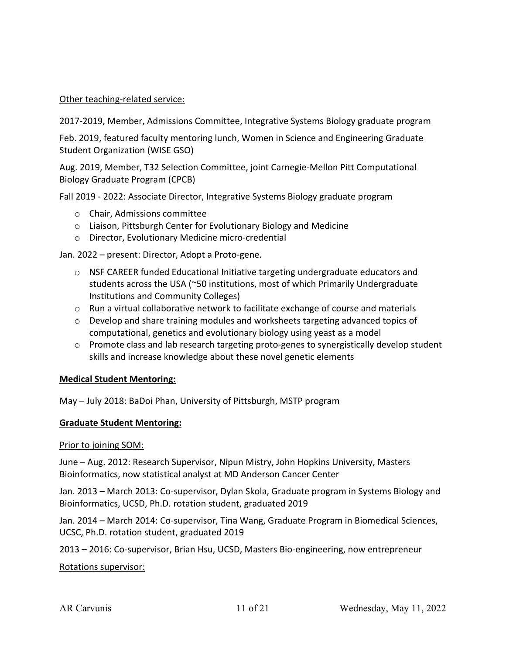#### Other teaching-related service:

2017-2019, Member, Admissions Committee, Integrative Systems Biology graduate program

Feb. 2019, featured faculty mentoring lunch, Women in Science and Engineering Graduate Student Organization (WISE GSO)

Aug. 2019, Member, T32 Selection Committee, joint Carnegie-Mellon Pitt Computational Biology Graduate Program (CPCB)

Fall 2019 - 2022: Associate Director, Integrative Systems Biology graduate program

- o Chair, Admissions committee
- o Liaison, Pittsburgh Center for Evolutionary Biology and Medicine
- o Director, Evolutionary Medicine micro-credential

Jan. 2022 – present: Director, Adopt a Proto-gene.

- $\circ$  NSF CAREER funded Educational Initiative targeting undergraduate educators and students across the USA (~50 institutions, most of which Primarily Undergraduate Institutions and Community Colleges)
- $\circ$  Run a virtual collaborative network to facilitate exchange of course and materials
- $\circ$  Develop and share training modules and worksheets targeting advanced topics of computational, genetics and evolutionary biology using yeast as a model
- $\circ$  Promote class and lab research targeting proto-genes to synergistically develop student skills and increase knowledge about these novel genetic elements

#### **Medical Student Mentoring:**

May – July 2018: BaDoi Phan, University of Pittsburgh, MSTP program

#### **Graduate Student Mentoring:**

Prior to joining SOM:

June – Aug. 2012: Research Supervisor, Nipun Mistry, John Hopkins University, Masters Bioinformatics, now statistical analyst at MD Anderson Cancer Center

Jan. 2013 – March 2013: Co-supervisor, Dylan Skola, Graduate program in Systems Biology and Bioinformatics, UCSD, Ph.D. rotation student, graduated 2019

Jan. 2014 – March 2014: Co-supervisor, Tina Wang, Graduate Program in Biomedical Sciences, UCSC, Ph.D. rotation student, graduated 2019

2013 – 2016: Co-supervisor, Brian Hsu, UCSD, Masters Bio-engineering, now entrepreneur

Rotations supervisor: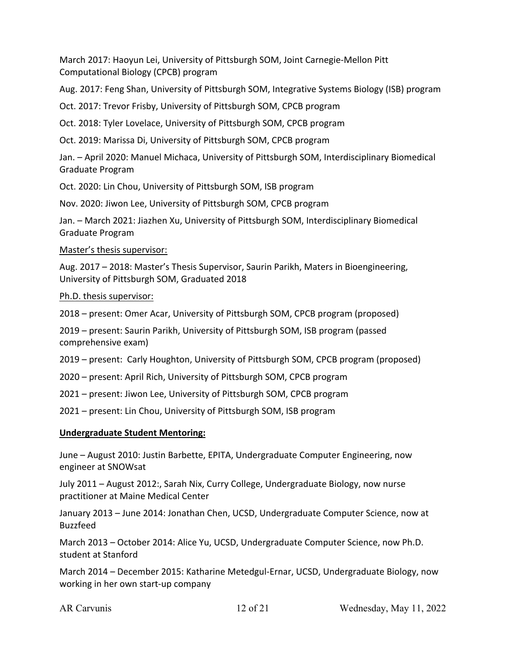March 2017: Haoyun Lei, University of Pittsburgh SOM, Joint Carnegie-Mellon Pitt Computational Biology (CPCB) program

Aug. 2017: Feng Shan, University of Pittsburgh SOM, Integrative Systems Biology (ISB) program

Oct. 2017: Trevor Frisby, University of Pittsburgh SOM, CPCB program

Oct. 2018: Tyler Lovelace, University of Pittsburgh SOM, CPCB program

Oct. 2019: Marissa Di, University of Pittsburgh SOM, CPCB program

Jan. – April 2020: Manuel Michaca, University of Pittsburgh SOM, Interdisciplinary Biomedical Graduate Program

Oct. 2020: Lin Chou, University of Pittsburgh SOM, ISB program

Nov. 2020: Jiwon Lee, University of Pittsburgh SOM, CPCB program

Jan. – March 2021: Jiazhen Xu, University of Pittsburgh SOM, Interdisciplinary Biomedical Graduate Program

Master's thesis supervisor:

Aug. 2017 – 2018: Master's Thesis Supervisor, Saurin Parikh, Maters in Bioengineering, University of Pittsburgh SOM, Graduated 2018

Ph.D. thesis supervisor:

2018 – present: Omer Acar, University of Pittsburgh SOM, CPCB program (proposed)

2019 – present: Saurin Parikh, University of Pittsburgh SOM, ISB program (passed comprehensive exam)

2019 – present: Carly Houghton, University of Pittsburgh SOM, CPCB program (proposed)

- 2020 present: April Rich, University of Pittsburgh SOM, CPCB program
- 2021 present: Jiwon Lee, University of Pittsburgh SOM, CPCB program

2021 – present: Lin Chou, University of Pittsburgh SOM, ISB program

#### **Undergraduate Student Mentoring:**

June – August 2010: Justin Barbette, EPITA, Undergraduate Computer Engineering, now engineer at SNOWsat

July 2011 – August 2012:, Sarah Nix, Curry College, Undergraduate Biology, now nurse practitioner at Maine Medical Center

January 2013 – June 2014: Jonathan Chen, UCSD, Undergraduate Computer Science, now at Buzzfeed

March 2013 – October 2014: Alice Yu, UCSD, Undergraduate Computer Science, now Ph.D. student at Stanford

March 2014 – December 2015: Katharine Metedgul-Ernar, UCSD, Undergraduate Biology, now working in her own start-up company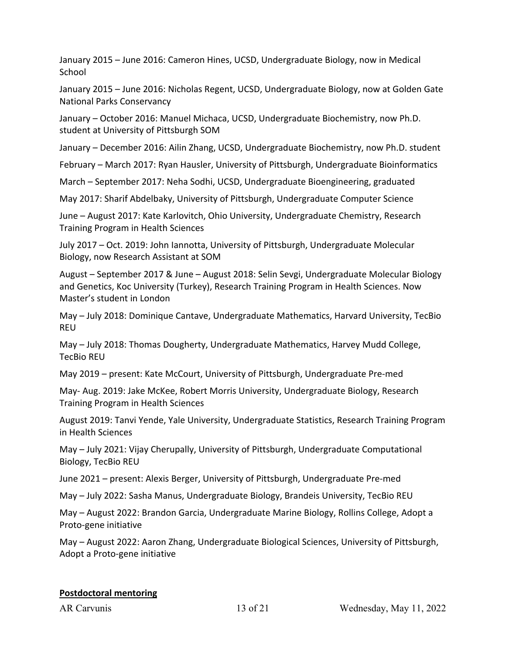January 2015 – June 2016: Cameron Hines, UCSD, Undergraduate Biology, now in Medical School

January 2015 – June 2016: Nicholas Regent, UCSD, Undergraduate Biology, now at Golden Gate National Parks Conservancy

January – October 2016: Manuel Michaca, UCSD, Undergraduate Biochemistry, now Ph.D. student at University of Pittsburgh SOM

January – December 2016: Ailin Zhang, UCSD, Undergraduate Biochemistry, now Ph.D. student

February – March 2017: Ryan Hausler, University of Pittsburgh, Undergraduate Bioinformatics

March – September 2017: Neha Sodhi, UCSD, Undergraduate Bioengineering, graduated

May 2017: Sharif Abdelbaky, University of Pittsburgh, Undergraduate Computer Science

June – August 2017: Kate Karlovitch, Ohio University, Undergraduate Chemistry, Research Training Program in Health Sciences

July 2017 – Oct. 2019: John Iannotta, University of Pittsburgh, Undergraduate Molecular Biology, now Research Assistant at SOM

August – September 2017 & June – August 2018: Selin Sevgi, Undergraduate Molecular Biology and Genetics, Koc University (Turkey), Research Training Program in Health Sciences. Now Master's student in London

May – July 2018: Dominique Cantave, Undergraduate Mathematics, Harvard University, TecBio REU

May – July 2018: Thomas Dougherty, Undergraduate Mathematics, Harvey Mudd College, TecBio REU

May 2019 – present: Kate McCourt, University of Pittsburgh, Undergraduate Pre-med

May- Aug. 2019: Jake McKee, Robert Morris University, Undergraduate Biology, Research Training Program in Health Sciences

August 2019: Tanvi Yende, Yale University, Undergraduate Statistics, Research Training Program in Health Sciences

May – July 2021: Vijay Cherupally, University of Pittsburgh, Undergraduate Computational Biology, TecBio REU

June 2021 – present: Alexis Berger, University of Pittsburgh, Undergraduate Pre-med

May – July 2022: Sasha Manus, Undergraduate Biology, Brandeis University, TecBio REU

May – August 2022: Brandon Garcia, Undergraduate Marine Biology, Rollins College, Adopt a Proto-gene initiative

May – August 2022: Aaron Zhang, Undergraduate Biological Sciences, University of Pittsburgh, Adopt a Proto-gene initiative

#### **Postdoctoral mentoring**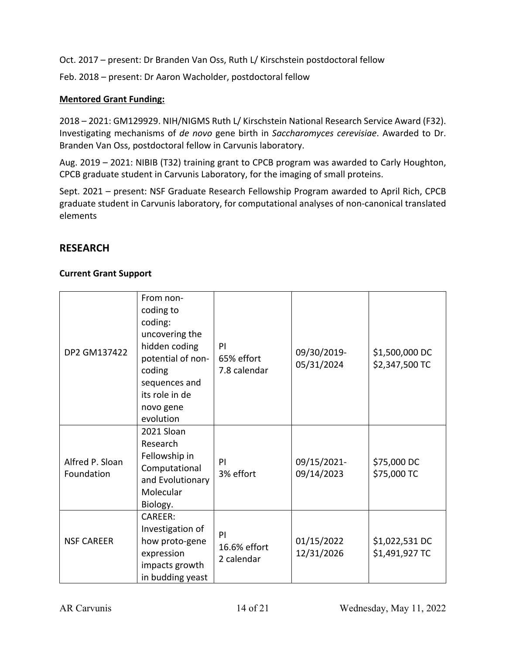Oct. 2017 – present: Dr Branden Van Oss, Ruth L/ Kirschstein postdoctoral fellow

Feb. 2018 – present: Dr Aaron Wacholder, postdoctoral fellow

## **Mentored Grant Funding:**

2018 – 2021: GM129929. NIH/NIGMS Ruth L/ Kirschstein National Research Service Award (F32). Investigating mechanisms of *de novo* gene birth in *Saccharomyces cerevisiae*. Awarded to Dr. Branden Van Oss, postdoctoral fellow in Carvunis laboratory.

Aug. 2019 – 2021: NIBIB (T32) training grant to CPCB program was awarded to Carly Houghton, CPCB graduate student in Carvunis Laboratory, for the imaging of small proteins.

Sept. 2021 – present: NSF Graduate Research Fellowship Program awarded to April Rich, CPCB graduate student in Carvunis laboratory, for computational analyses of non-canonical translated elements

# **RESEARCH**

#### **Current Grant Support**

| DP2 GM137422                  | From non-<br>coding to<br>coding:<br>uncovering the<br>hidden coding<br>potential of non-<br>coding<br>sequences and<br>its role in de<br>novo gene<br>evolution | PI<br>65% effort<br>7.8 calendar | 09/30/2019-<br>05/31/2024 | \$1,500,000 DC<br>\$2,347,500 TC |
|-------------------------------|------------------------------------------------------------------------------------------------------------------------------------------------------------------|----------------------------------|---------------------------|----------------------------------|
| Alfred P. Sloan<br>Foundation | 2021 Sloan<br>Research<br>Fellowship in<br>Computational<br>and Evolutionary<br>Molecular<br>Biology.                                                            | PI<br>3% effort                  | 09/15/2021-<br>09/14/2023 | \$75,000 DC<br>\$75,000 TC       |
| <b>NSF CAREER</b>             | <b>CAREER:</b><br>Investigation of<br>how proto-gene<br>expression<br>impacts growth<br>in budding yeast                                                         | PI<br>16.6% effort<br>2 calendar | 01/15/2022<br>12/31/2026  | \$1,022,531 DC<br>\$1,491,927 TC |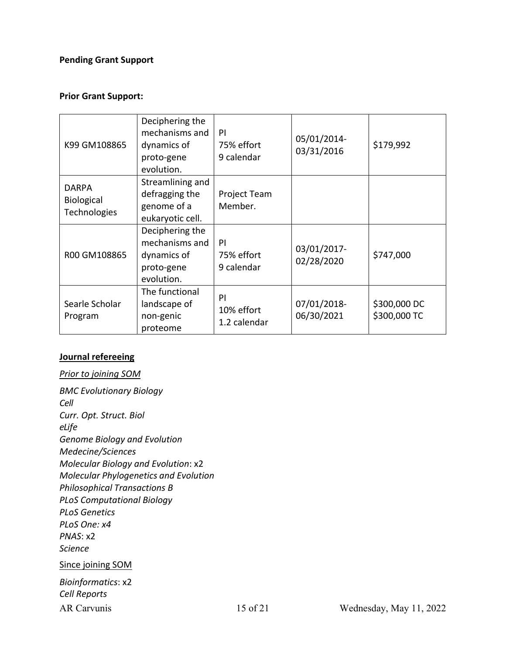## **Pending Grant Support**

#### **Prior Grant Support:**

| K99 GM108865                                      | Deciphering the<br>mechanisms and<br>dynamics of<br>proto-gene<br>evolution. | PI<br>75% effort<br>9 calendar   | 05/01/2014-<br>03/31/2016 | \$179,992                    |
|---------------------------------------------------|------------------------------------------------------------------------------|----------------------------------|---------------------------|------------------------------|
| <b>DARPA</b><br><b>Biological</b><br>Technologies | Streamlining and<br>defragging the<br>genome of a<br>eukaryotic cell.        | Project Team<br>Member.          |                           |                              |
| R00 GM108865                                      | Deciphering the<br>mechanisms and<br>dynamics of<br>proto-gene<br>evolution. | PI<br>75% effort<br>9 calendar   | 03/01/2017-<br>02/28/2020 | \$747,000                    |
| Searle Scholar<br>Program                         | The functional<br>landscape of<br>non-genic<br>proteome                      | PI<br>10% effort<br>1.2 calendar | 07/01/2018-<br>06/30/2021 | \$300,000 DC<br>\$300,000 TC |

#### **Journal refereeing**

# AR Carvunis 15 of 21 Wednesday, May 11, 2022 *Prior to joining SOM BMC Evolutionary Biology Cell Curr. Opt. Struct. Biol eLife Genome Biology and Evolution Medecine/Sciences Molecular Biology and Evolution*: x2 *Molecular Phylogenetics and Evolution Philosophical Transactions B PLoS Computational Biology PLoS Genetics PLoS One: x4 PNAS*: x2 *Science* Since joining SOM *Bioinformatics*: x2 *Cell Reports*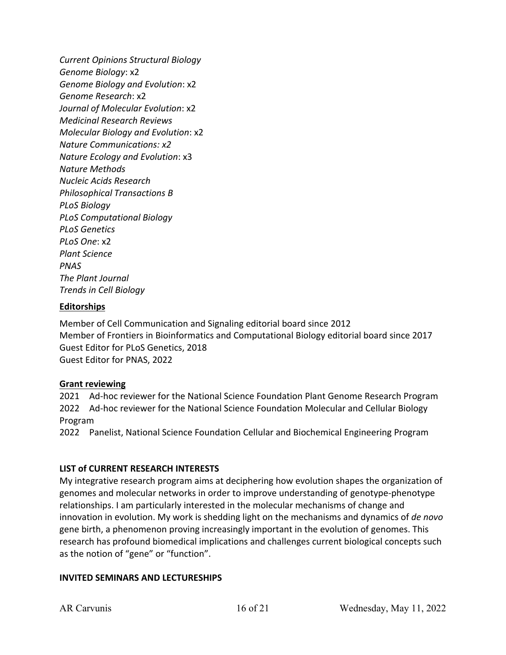*Current Opinions Structural Biology Genome Biology*: x2 *Genome Biology and Evolution*: x2 *Genome Research*: x2 *Journal of Molecular Evolution*: x2 *Medicinal Research Reviews Molecular Biology and Evolution*: x2 *Nature Communications: x2 Nature Ecology and Evolution*: x3 *Nature Methods Nucleic Acids Research Philosophical Transactions B PLoS Biology PLoS Computational Biology PLoS Genetics PLoS One*: x2 *Plant Science PNAS The Plant Journal Trends in Cell Biology*

#### **Editorships**

Member of Cell Communication and Signaling editorial board since 2012 Member of Frontiers in Bioinformatics and Computational Biology editorial board since 2017 Guest Editor for PLoS Genetics, 2018 Guest Editor for PNAS, 2022

#### **Grant reviewing**

2021 Ad-hoc reviewer for the National Science Foundation Plant Genome Research Program 2022 Ad-hoc reviewer for the National Science Foundation Molecular and Cellular Biology Program

2022 Panelist, National Science Foundation Cellular and Biochemical Engineering Program

#### **LIST of CURRENT RESEARCH INTERESTS**

My integrative research program aims at deciphering how evolution shapes the organization of genomes and molecular networks in order to improve understanding of genotype-phenotype relationships. I am particularly interested in the molecular mechanisms of change and innovation in evolution. My work is shedding light on the mechanisms and dynamics of *de novo* gene birth, a phenomenon proving increasingly important in the evolution of genomes. This research has profound biomedical implications and challenges current biological concepts such as the notion of "gene" or "function".

#### **INVITED SEMINARS AND LECTURESHIPS**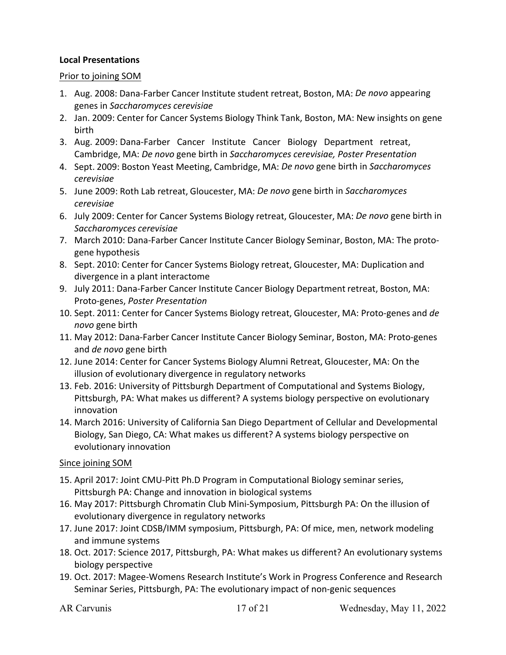### **Local Presentations**

#### Prior to joining SOM

- 1. Aug. 2008: Dana-Farber Cancer Institute student retreat, Boston, MA: *De novo* appearing genes in *Saccharomyces cerevisiae*
- 2. Jan. 2009: Center for Cancer Systems Biology Think Tank, Boston, MA: New insights on gene birth
- 3. Aug. 2009: Dana-Farber Cancer Institute Cancer Biology Department retreat, Cambridge, MA: *De novo* gene birth in *Saccharomyces cerevisiae, Poster Presentation*
- 4. Sept. 2009: Boston Yeast Meeting, Cambridge, MA: *De novo* gene birth in *Saccharomyces cerevisiae*
- 5. June 2009: Roth Lab retreat, Gloucester, MA: *De novo* gene birth in *Saccharomyces cerevisiae*
- 6. July 2009: Center for Cancer Systems Biology retreat, Gloucester, MA: *De novo* gene birth in *Saccharomyces cerevisiae*
- 7. March 2010: Dana-Farber Cancer Institute Cancer Biology Seminar, Boston, MA: The protogene hypothesis
- 8. Sept. 2010: Center for Cancer Systems Biology retreat, Gloucester, MA: Duplication and divergence in a plant interactome
- 9. July 2011: Dana-Farber Cancer Institute Cancer Biology Department retreat, Boston, MA: Proto-genes, *Poster Presentation*
- 10. Sept. 2011: Center for Cancer Systems Biology retreat, Gloucester, MA: Proto-genes and *de novo* gene birth
- 11. May 2012: Dana-Farber Cancer Institute Cancer Biology Seminar, Boston, MA: Proto-genes and *de novo* gene birth
- 12. June 2014: Center for Cancer Systems Biology Alumni Retreat, Gloucester, MA: On the illusion of evolutionary divergence in regulatory networks
- 13. Feb. 2016: University of Pittsburgh Department of Computational and Systems Biology, Pittsburgh, PA: What makes us different? A systems biology perspective on evolutionary innovation
- 14. March 2016: University of California San Diego Department of Cellular and Developmental Biology, San Diego, CA: What makes us different? A systems biology perspective on evolutionary innovation

#### Since joining SOM

- 15. April 2017: Joint CMU-Pitt Ph.D Program in Computational Biology seminar series, Pittsburgh PA: Change and innovation in biological systems
- 16. May 2017: Pittsburgh Chromatin Club Mini-Symposium, Pittsburgh PA: On the illusion of evolutionary divergence in regulatory networks
- 17. June 2017: Joint CDSB/IMM symposium, Pittsburgh, PA: Of mice, men, network modeling and immune systems
- 18. Oct. 2017: Science 2017, Pittsburgh, PA: What makes us different? An evolutionary systems biology perspective
- 19. Oct. 2017: Magee-Womens Research Institute's Work in Progress Conference and Research Seminar Series, Pittsburgh, PA: The evolutionary impact of non-genic sequences
-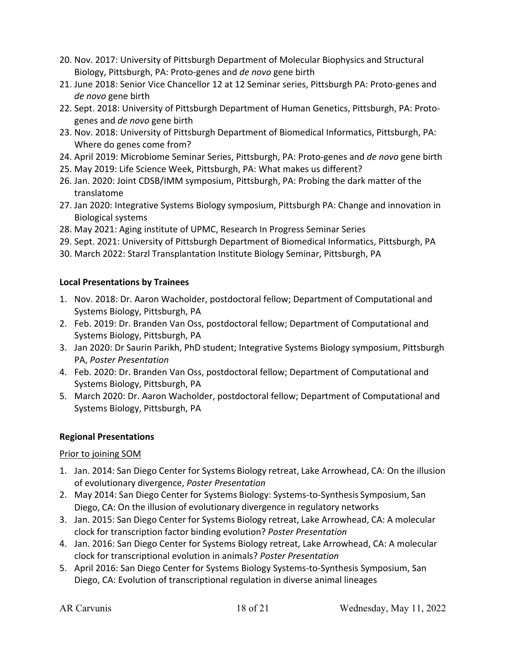- 20. Nov. 2017: University of Pittsburgh Department of Molecular Biophysics and Structural Biology, Pittsburgh, PA: Proto-genes and *de novo* gene birth
- 21. June 2018: Senior Vice Chancellor 12 at 12 Seminar series, Pittsburgh PA: Proto-genes and *de novo* gene birth
- 22. Sept. 2018: University of Pittsburgh Department of Human Genetics, Pittsburgh, PA: Protogenes and *de novo* gene birth
- 23. Nov. 2018: University of Pittsburgh Department of Biomedical Informatics, Pittsburgh, PA: Where do genes come from?
- 24. April 2019: Microbiome Seminar Series, Pittsburgh, PA: Proto-genes and *de novo* gene birth
- 25. May 2019: Life Science Week, Pittsburgh, PA: What makes us different?
- 26. Jan. 2020: Joint CDSB/IMM symposium, Pittsburgh, PA: Probing the dark matter of the translatome
- 27. Jan 2020: Integrative Systems Biology symposium, Pittsburgh PA: Change and innovation in Biological systems
- 28. May 2021: Aging institute of UPMC, Research In Progress Seminar Series
- 29. Sept. 2021: University of Pittsburgh Department of Biomedical Informatics, Pittsburgh, PA
- 30. March 2022: Starzl Transplantation Institute Biology Seminar, Pittsburgh, PA

# **Local Presentations by Trainees**

- 1. Nov. 2018: Dr. Aaron Wacholder, postdoctoral fellow; Department of Computational and Systems Biology, Pittsburgh, PA
- 2. Feb. 2019: Dr. Branden Van Oss, postdoctoral fellow; Department of Computational and Systems Biology, Pittsburgh, PA
- 3. Jan 2020: Dr Saurin Parikh, PhD student; Integrative Systems Biology symposium, Pittsburgh PA, *Poster Presentation*
- 4. Feb. 2020: Dr. Branden Van Oss, postdoctoral fellow; Department of Computational and Systems Biology, Pittsburgh, PA
- 5. March 2020: Dr. Aaron Wacholder, postdoctoral fellow; Department of Computational and Systems Biology, Pittsburgh, PA

# **Regional Presentations**

## Prior to joining SOM

- 1. Jan. 2014: San Diego Center for Systems Biology retreat, Lake Arrowhead, CA: On the illusion of evolutionary divergence, *Poster Presentation*
- 2. May 2014: San Diego Center for Systems Biology: Systems-to-Synthesis Symposium, San Diego, CA: On the illusion of evolutionary divergence in regulatory networks
- 3. Jan. 2015: San Diego Center for Systems Biology retreat, Lake Arrowhead, CA: A molecular clock for transcription factor binding evolution? *Poster Presentation*
- 4. Jan. 2016: San Diego Center for Systems Biology retreat, Lake Arrowhead, CA: A molecular clock for transcriptional evolution in animals? *Poster Presentation*
- 5. April 2016: San Diego Center for Systems Biology Systems-to-Synthesis Symposium, San Diego, CA: Evolution of transcriptional regulation in diverse animal lineages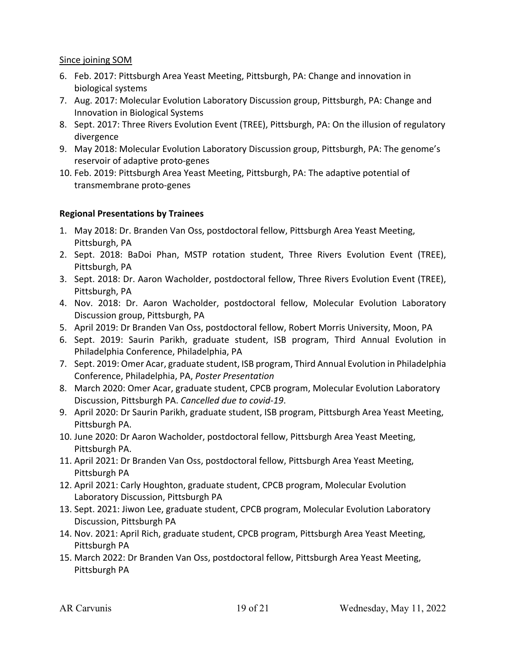#### Since joining SOM

- 6. Feb. 2017: Pittsburgh Area Yeast Meeting, Pittsburgh, PA: Change and innovation in biological systems
- 7. Aug. 2017: Molecular Evolution Laboratory Discussion group, Pittsburgh, PA: Change and Innovation in Biological Systems
- 8. Sept. 2017: Three Rivers Evolution Event (TREE), Pittsburgh, PA: On the illusion of regulatory divergence
- 9. May 2018: Molecular Evolution Laboratory Discussion group, Pittsburgh, PA: The genome's reservoir of adaptive proto-genes
- 10. Feb. 2019: Pittsburgh Area Yeast Meeting, Pittsburgh, PA: The adaptive potential of transmembrane proto-genes

## **Regional Presentations by Trainees**

- 1. May 2018: Dr. Branden Van Oss, postdoctoral fellow, Pittsburgh Area Yeast Meeting, Pittsburgh, PA
- 2. Sept. 2018: BaDoi Phan, MSTP rotation student, Three Rivers Evolution Event (TREE), Pittsburgh, PA
- 3. Sept. 2018: Dr. Aaron Wacholder, postdoctoral fellow, Three Rivers Evolution Event (TREE), Pittsburgh, PA
- 4. Nov. 2018: Dr. Aaron Wacholder, postdoctoral fellow, Molecular Evolution Laboratory Discussion group, Pittsburgh, PA
- 5. April 2019: Dr Branden Van Oss, postdoctoral fellow, Robert Morris University, Moon, PA
- 6. Sept. 2019: Saurin Parikh, graduate student, ISB program, Third Annual Evolution in Philadelphia Conference, Philadelphia, PA
- 7. Sept. 2019: Omer Acar, graduate student, ISB program, Third Annual Evolution in Philadelphia Conference, Philadelphia, PA, *Poster Presentation*
- 8. March 2020: Omer Acar, graduate student, CPCB program, Molecular Evolution Laboratory Discussion, Pittsburgh PA. *Cancelled due to covid-19*.
- 9. April 2020: Dr Saurin Parikh, graduate student, ISB program, Pittsburgh Area Yeast Meeting, Pittsburgh PA.
- 10. June 2020: Dr Aaron Wacholder, postdoctoral fellow, Pittsburgh Area Yeast Meeting, Pittsburgh PA.
- 11. April 2021: Dr Branden Van Oss, postdoctoral fellow, Pittsburgh Area Yeast Meeting, Pittsburgh PA
- 12. April 2021: Carly Houghton, graduate student, CPCB program, Molecular Evolution Laboratory Discussion, Pittsburgh PA
- 13. Sept. 2021: Jiwon Lee, graduate student, CPCB program, Molecular Evolution Laboratory Discussion, Pittsburgh PA
- 14. Nov. 2021: April Rich, graduate student, CPCB program, Pittsburgh Area Yeast Meeting, Pittsburgh PA
- 15. March 2022: Dr Branden Van Oss, postdoctoral fellow, Pittsburgh Area Yeast Meeting, Pittsburgh PA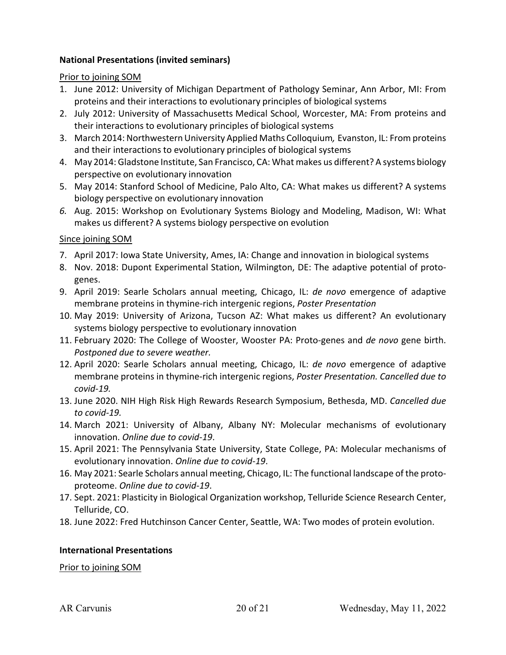#### **National Presentations (invited seminars)**

Prior to joining SOM

- 1. June 2012: University of Michigan Department of Pathology Seminar, Ann Arbor, MI: From proteins and their interactions to evolutionary principles of biological systems
- 2. July 2012: University of Massachusetts Medical School, Worcester, MA: From proteins and their interactions to evolutionary principles of biological systems
- 3. March 2014: NorthwesternUniversity Applied Maths Colloquium*,* Evanston, IL: From proteins and their interactions to evolutionary principles of biological systems
- 4. May 2014: Gladstone Institute, San Francisco, CA: What makes us different? A systems biology perspective on evolutionary innovation
- 5. May 2014: Stanford School of Medicine, Palo Alto, CA: What makes us different? A systems biology perspective on evolutionary innovation
- *6.* Aug. 2015: Workshop on Evolutionary Systems Biology and Modeling, Madison, WI: What makes us different? A systems biology perspective on evolution

## Since joining SOM

- 7. April 2017: Iowa State University, Ames, IA: Change and innovation in biological systems
- 8. Nov. 2018: Dupont Experimental Station, Wilmington, DE: The adaptive potential of protogenes.
- 9. April 2019: Searle Scholars annual meeting, Chicago, IL: *de novo* emergence of adaptive membrane proteins in thymine-rich intergenic regions, *Poster Presentation*
- 10. May 2019: University of Arizona, Tucson AZ: What makes us different? An evolutionary systems biology perspective to evolutionary innovation
- 11. February 2020: The College of Wooster, Wooster PA: Proto-genes and *de novo* gene birth. *Postponed due to severe weather.*
- 12. April 2020: Searle Scholars annual meeting, Chicago, IL: *de novo* emergence of adaptive membrane proteins in thymine-rich intergenic regions, *Poster Presentation. Cancelled due to covid-19.*
- 13. June 2020. NIH High Risk High Rewards Research Symposium, Bethesda, MD. *Cancelled due to covid-19.*
- 14. March 2021: University of Albany, Albany NY: Molecular mechanisms of evolutionary innovation. *Online due to covid-19*.
- 15. April 2021: The Pennsylvania State University, State College, PA: Molecular mechanisms of evolutionary innovation. *Online due to covid-19*.
- 16. May 2021: Searle Scholars annual meeting, Chicago, IL: The functional landscape of the protoproteome. *Online due to covid-19*.
- 17. Sept. 2021: Plasticity in Biological Organization workshop, Telluride Science Research Center, Telluride, CO.
- 18. June 2022: Fred Hutchinson Cancer Center, Seattle, WA: Two modes of protein evolution.

## **International Presentations**

Prior to joining SOM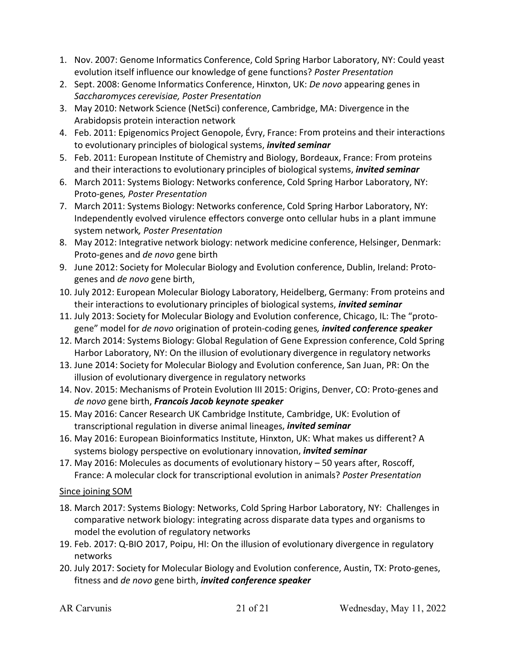- 1. Nov. 2007: Genome Informatics Conference, Cold Spring Harbor Laboratory, NY: Could yeast evolution itself influence our knowledge of gene functions? *Poster Presentation*
- 2. Sept. 2008: Genome Informatics Conference, Hinxton, UK: *De novo* appearing genes in *Saccharomyces cerevisiae, Poster Presentation*
- 3. May 2010: Network Science (NetSci) conference, Cambridge, MA: Divergence in the Arabidopsis protein interaction network
- 4. Feb. 2011: Epigenomics Project Genopole, Évry, France: From proteins and their interactions to evolutionary principles of biological systems, *invited seminar*
- 5. Feb. 2011: European Institute of Chemistry and Biology, Bordeaux, France: From proteins and their interactions to evolutionary principles of biological systems, *invited seminar*
- 6. March 2011: Systems Biology: Networks conference, Cold Spring Harbor Laboratory, NY: Proto-genes*, Poster Presentation*
- 7. March 2011: Systems Biology: Networks conference, Cold Spring Harbor Laboratory, NY: Independently evolved virulence effectors converge onto cellular hubs in a plant immune system network*, Poster Presentation*
- 8. May 2012: Integrative network biology: network medicine conference, Helsinger, Denmark: Proto-genes and *de novo* gene birth
- 9. June 2012: Society for Molecular Biology and Evolution conference, Dublin, Ireland: Protogenes and *de novo* gene birth,
- 10. July 2012: European Molecular Biology Laboratory, Heidelberg, Germany: From proteins and their interactions to evolutionary principles of biological systems, *invited seminar*
- 11. July 2013: Society for Molecular Biology and Evolution conference, Chicago, IL: The "protogene" model for *de novo* origination of protein-coding genes*, invited conference speaker*
- 12. March 2014: Systems Biology: Global Regulation of Gene Expression conference, Cold Spring Harbor Laboratory, NY: On the illusion of evolutionary divergence in regulatory networks
- 13. June 2014: Society for Molecular Biology and Evolution conference, San Juan, PR: On the illusion of evolutionary divergence in regulatory networks
- 14. Nov. 2015: Mechanisms of Protein Evolution III 2015: Origins, Denver, CO: Proto-genes and *de novo* gene birth, *Francois Jacob keynote speaker*
- 15. May 2016: Cancer Research UK Cambridge Institute, Cambridge, UK: Evolution of transcriptional regulation in diverse animal lineages, *invited seminar*
- 16. May 2016: European Bioinformatics Institute, Hinxton, UK: What makes us different? A systems biology perspective on evolutionary innovation, *invited seminar*
- 17. May 2016: Molecules as documents of evolutionary history 50 years after, Roscoff, France: A molecular clock for transcriptional evolution in animals? *Poster Presentation*

Since joining SOM

- 18. March 2017: Systems Biology: Networks, Cold Spring Harbor Laboratory, NY: Challenges in comparative network biology: integrating across disparate data types and organisms to model the evolution of regulatory networks
- 19. Feb. 2017: Q-BIO 2017, Poipu, HI: On the illusion of evolutionary divergence in regulatory networks
- 20. July 2017: Society for Molecular Biology and Evolution conference, Austin, TX: Proto-genes, fitness and *de novo* gene birth, *invited conference speaker*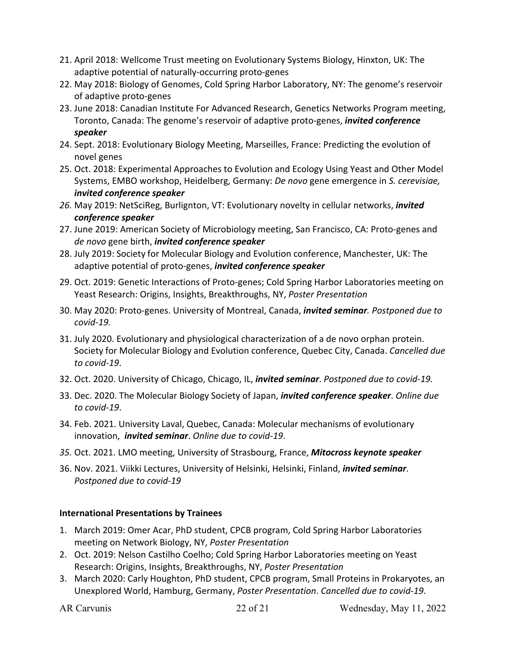- 21. April 2018: Wellcome Trust meeting on Evolutionary Systems Biology, Hinxton, UK: The adaptive potential of naturally-occurring proto-genes
- 22. May 2018: Biology of Genomes, Cold Spring Harbor Laboratory, NY: The genome's reservoir of adaptive proto-genes
- 23. June 2018: Canadian Institute For Advanced Research, Genetics Networks Program meeting, Toronto, Canada: The genome's reservoir of adaptive proto-genes, *invited conference speaker*
- 24. Sept. 2018: Evolutionary Biology Meeting, Marseilles, France: Predicting the evolution of novel genes
- 25. Oct. 2018: Experimental Approaches to Evolution and Ecology Using Yeast and Other Model Systems, EMBO workshop, Heidelberg, Germany: *De novo* gene emergence in *S. cerevisiae, invited conference speaker*
- *26.* May 2019: NetSciReg, Burlignton, VT: Evolutionary novelty in cellular networks, *invited conference speaker*
- 27. June 2019: American Society of Microbiology meeting, San Francisco, CA: Proto-genes and *de novo* gene birth, *invited conference speaker*
- 28. July 2019: Society for Molecular Biology and Evolution conference, Manchester, UK: The adaptive potential of proto-genes, *invited conference speaker*
- 29. Oct. 2019: Genetic Interactions of Proto-genes; Cold Spring Harbor Laboratories meeting on Yeast Research: Origins, Insights, Breakthroughs, NY, *Poster Presentation*
- 30. May 2020: Proto-genes. University of Montreal, Canada, *invited seminar. Postponed due to covid-19.*
- 31. July 2020. Evolutionary and physiological characterization of a de novo orphan protein. Society for Molecular Biology and Evolution conference, Quebec City, Canada. *Cancelled due to covid-19*.
- 32. Oct. 2020. University of Chicago, Chicago, IL, *invited seminar*. *Postponed due to covid-19.*
- 33. Dec. 2020. The Molecular Biology Society of Japan, *invited conference speaker*. *Online due to covid-19*.
- 34. Feb. 2021. University Laval, Quebec, Canada: Molecular mechanisms of evolutionary innovation, *invited seminar*. *Online due to covid-19*.
- *35.* Oct. 2021. LMO meeting, University of Strasbourg, France, *Mitocross keynote speaker*
- 36. Nov. 2021. Viikki Lectures, University of Helsinki, Helsinki, Finland, *invited seminar*. *Postponed due to covid-19*

# **International Presentations by Trainees**

- 1. March 2019: Omer Acar, PhD student, CPCB program, Cold Spring Harbor Laboratories meeting on Network Biology, NY, *Poster Presentation*
- 2. Oct. 2019: Nelson Castilho Coelho; Cold Spring Harbor Laboratories meeting on Yeast Research: Origins, Insights, Breakthroughs, NY, *Poster Presentation*
- 3. March 2020: Carly Houghton, PhD student, CPCB program, Small Proteins in Prokaryotes, an Unexplored World, Hamburg, Germany, *Poster Presentation*. *Cancelled due to covid-19*.

AR Carvunis 22 of 21 Wednesday, May 11, 2022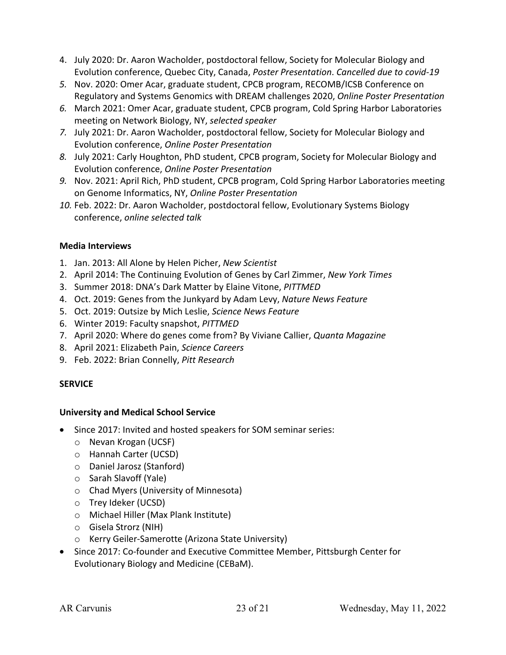- 4. July 2020: Dr. Aaron Wacholder, postdoctoral fellow, Society for Molecular Biology and Evolution conference, Quebec City, Canada, *Poster Presentation*. *Cancelled due to covid-19*
- *5.* Nov. 2020: Omer Acar, graduate student, CPCB program, RECOMB/ICSB Conference on Regulatory and Systems Genomics with DREAM challenges 2020, *Online Poster Presentation*
- *6.* March 2021: Omer Acar, graduate student, CPCB program, Cold Spring Harbor Laboratories meeting on Network Biology, NY, *selected speaker*
- *7.* July 2021: Dr. Aaron Wacholder, postdoctoral fellow, Society for Molecular Biology and Evolution conference, *Online Poster Presentation*
- *8.* July 2021: Carly Houghton, PhD student, CPCB program, Society for Molecular Biology and Evolution conference, *Online Poster Presentation*
- *9.* Nov. 2021: April Rich, PhD student, CPCB program, Cold Spring Harbor Laboratories meeting on Genome Informatics, NY, *Online Poster Presentation*
- *10.* Feb. 2022: Dr. Aaron Wacholder, postdoctoral fellow, Evolutionary Systems Biology conference, *online selected talk*

# **Media Interviews**

- 1. Jan. 2013: All Alone by Helen Picher, *New Scientist*
- 2. April 2014: The Continuing Evolution of Genes by Carl Zimmer, *New York Times*
- 3. Summer 2018: DNA's Dark Matter by Elaine Vitone, *PITTMED*
- 4. Oct. 2019: Genes from the Junkyard by Adam Levy, *Nature News Feature*
- 5. Oct. 2019: Outsize by Mich Leslie, *Science News Feature*
- 6. Winter 2019: Faculty snapshot, *PITTMED*
- 7. April 2020: Where do genes come from? By Viviane Callier, *Quanta Magazine*
- 8. April 2021: Elizabeth Pain, *Science Careers*
- 9. Feb. 2022: Brian Connelly, *Pitt Research*

# **SERVICE**

## **University and Medical School Service**

- Since 2017: Invited and hosted speakers for SOM seminar series:
	- o Nevan Krogan (UCSF)
	- o Hannah Carter (UCSD)
	- o Daniel Jarosz (Stanford)
	- o Sarah Slavoff (Yale)
	- o Chad Myers (University of Minnesota)
	- o Trey Ideker (UCSD)
	- o Michael Hiller (Max Plank Institute)
	- o Gisela Strorz (NIH)
	- o Kerry Geiler-Samerotte (Arizona State University)
- Since 2017: Co-founder and Executive Committee Member, Pittsburgh Center for Evolutionary Biology and Medicine (CEBaM).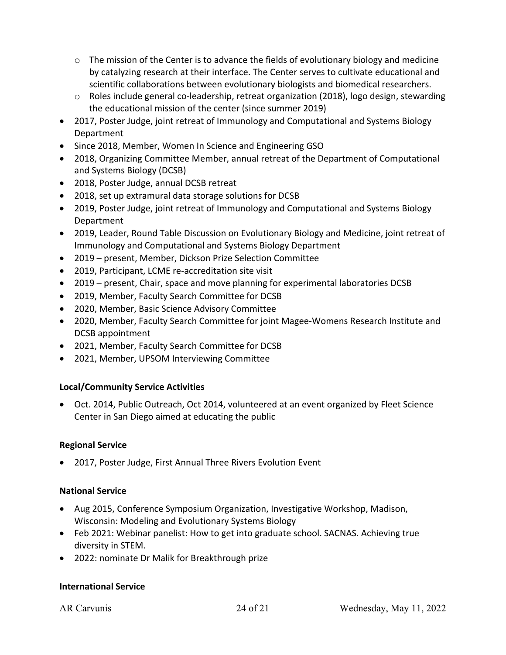- $\circ$  The mission of the Center is to advance the fields of evolutionary biology and medicine by catalyzing research at their interface. The Center serves to cultivate educational and scientific collaborations between evolutionary biologists and biomedical researchers.
- $\circ$  Roles include general co-leadership, retreat organization (2018), logo design, stewarding the educational mission of the center (since summer 2019)
- 2017, Poster Judge, joint retreat of Immunology and Computational and Systems Biology Department
- Since 2018, Member, Women In Science and Engineering GSO
- 2018, Organizing Committee Member, annual retreat of the Department of Computational and Systems Biology (DCSB)
- 2018, Poster Judge, annual DCSB retreat
- 2018, set up extramural data storage solutions for DCSB
- 2019, Poster Judge, joint retreat of Immunology and Computational and Systems Biology Department
- 2019, Leader, Round Table Discussion on Evolutionary Biology and Medicine, joint retreat of Immunology and Computational and Systems Biology Department
- 2019 present, Member, Dickson Prize Selection Committee
- 2019, Participant, LCME re-accreditation site visit
- 2019 present, Chair, space and move planning for experimental laboratories DCSB
- 2019, Member, Faculty Search Committee for DCSB
- 2020, Member, Basic Science Advisory Committee
- 2020, Member, Faculty Search Committee for joint Magee-Womens Research Institute and DCSB appointment
- 2021, Member, Faculty Search Committee for DCSB
- 2021, Member, UPSOM Interviewing Committee

# **Local/Community Service Activities**

• Oct. 2014, Public Outreach, Oct 2014, volunteered at an event organized by Fleet Science Center in San Diego aimed at educating the public

## **Regional Service**

• 2017, Poster Judge, First Annual Three Rivers Evolution Event

## **National Service**

- Aug 2015, Conference Symposium Organization, Investigative Workshop, Madison, Wisconsin: Modeling and Evolutionary Systems Biology
- Feb 2021: Webinar panelist: How to get into graduate school. SACNAS. Achieving true diversity in STEM.
- 2022: nominate Dr Malik for Breakthrough prize

## **International Service**